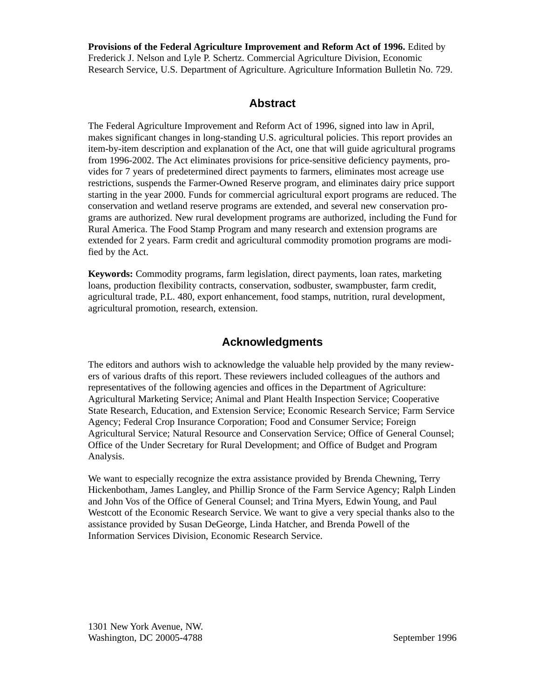**Provisions of the Federal Agriculture Improvement and Reform Act of 1996.** Edited by Frederick J. Nelson and Lyle P. Schertz. Commercial Agriculture Division, Economic Research Service, U.S. Department of Agriculture. Agriculture Information Bulletin No. 729.

# **Abstract**

The Federal Agriculture Improvement and Reform Act of 1996, signed into law in April, makes significant changes in long-standing U.S. agricultural policies. This report provides an item-by-item description and explanation of the Act, one that will guide agricultural programs from 1996-2002. The Act eliminates provisions for price-sensitive deficiency payments, provides for 7 years of predetermined direct payments to farmers, eliminates most acreage use restrictions, suspends the Farmer-Owned Reserve program, and eliminates dairy price support starting in the year 2000. Funds for commercial agricultural export programs are reduced. The conservation and wetland reserve programs are extended, and several new conservation programs are authorized. New rural development programs are authorized, including the Fund for Rural America. The Food Stamp Program and many research and extension programs are extended for 2 years. Farm credit and agricultural commodity promotion programs are modified by the Act.

**Keywords:** Commodity programs, farm legislation, direct payments, loan rates, marketing loans, production flexibility contracts, conservation, sodbuster, swampbuster, farm credit, agricultural trade, P.L. 480, export enhancement, food stamps, nutrition, rural development, agricultural promotion, research, extension.

# **Acknowledgments**

The editors and authors wish to acknowledge the valuable help provided by the many reviewers of various drafts of this report. These reviewers included colleagues of the authors and representatives of the following agencies and offices in the Department of Agriculture: Agricultural Marketing Service; Animal and Plant Health Inspection Service; Cooperative State Research, Education, and Extension Service; Economic Research Service; Farm Service Agency; Federal Crop Insurance Corporation; Food and Consumer Service; Foreign Agricultural Service; Natural Resource and Conservation Service; Office of General Counsel; Office of the Under Secretary for Rural Development; and Office of Budget and Program Analysis.

We want to especially recognize the extra assistance provided by Brenda Chewning, Terry Hickenbotham, James Langley, and Phillip Sronce of the Farm Service Agency; Ralph Linden and John Vos of the Office of General Counsel; and Trina Myers, Edwin Young, and Paul Westcott of the Economic Research Service. We want to give a very special thanks also to the assistance provided by Susan DeGeorge, Linda Hatcher, and Brenda Powell of the Information Services Division, Economic Research Service.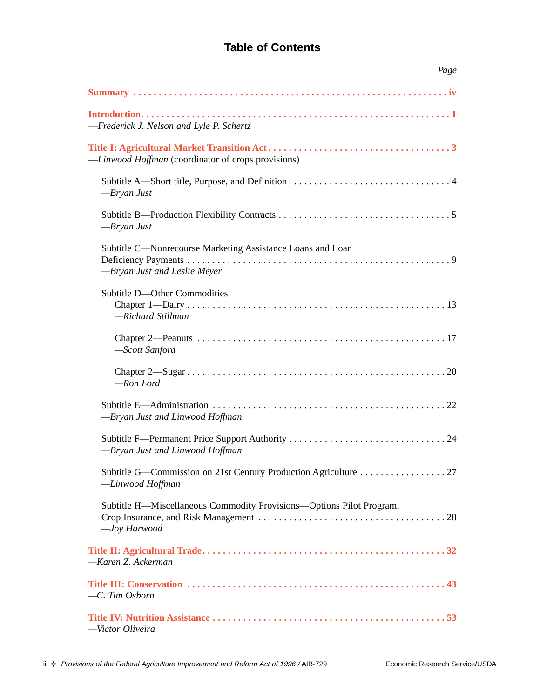# **Table of Contents**

| Page                                                                                       |
|--------------------------------------------------------------------------------------------|
|                                                                                            |
| -Frederick J. Nelson and Lyle P. Schertz                                                   |
| -Linwood Hoffman (coordinator of crops provisions)                                         |
| $-Bryan$ Just                                                                              |
| $-Bryan$ Just                                                                              |
| Subtitle C—Nonrecourse Marketing Assistance Loans and Loan<br>-Bryan Just and Leslie Meyer |
| Subtitle D-Other Commodities<br>-Richard Stillman                                          |
| -Scott Sanford                                                                             |
| -Ron Lord                                                                                  |
| -Bryan Just and Linwood Hoffman                                                            |
| -Bryan Just and Linwood Hoffman                                                            |
| Subtitle G—Commission on 21st Century Production Agriculture 27<br>-Linwood Hoffman        |
| Subtitle H—Miscellaneous Commodity Provisions—Options Pilot Program,<br>-Joy Harwood       |
| -Karen Z. Ackerman                                                                         |
| -C. Tim Osborn                                                                             |
| -Victor Oliveira                                                                           |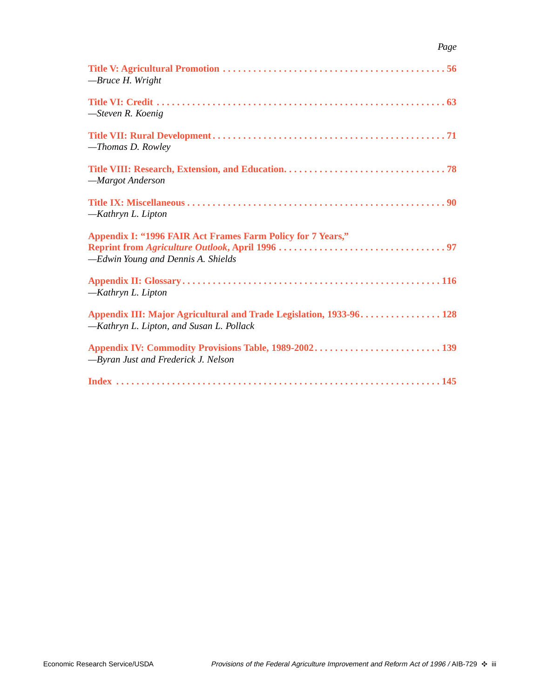| -Bruce H. Wright                                                                                                |
|-----------------------------------------------------------------------------------------------------------------|
| $-$ Steven R. Koenig                                                                                            |
| -Thomas D. Rowley                                                                                               |
| -Margot Anderson                                                                                                |
| -Kathryn L. Lipton                                                                                              |
| Appendix I: "1996 FAIR Act Frames Farm Policy for 7 Years,"<br>-Edwin Young and Dennis A. Shields               |
| -Kathryn L. Lipton                                                                                              |
| Appendix III: Major Agricultural and Trade Legislation, 1933-96 128<br>-Kathryn L. Lipton, and Susan L. Pollack |
| -Byran Just and Frederick J. Nelson                                                                             |
|                                                                                                                 |

*Page*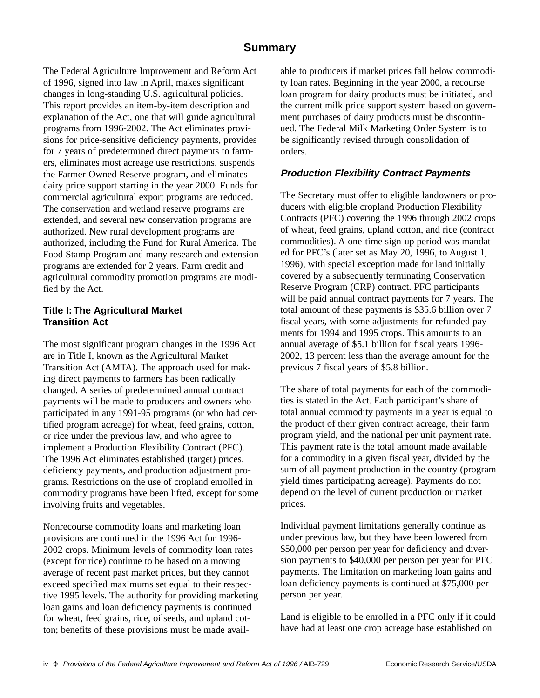# **Summary**

<span id="page-3-0"></span>The Federal Agriculture Improvement and Reform Act of 1996, signed into law in April, makes significant changes in long-standing U.S. agricultural policies. This report provides an item-by-item description and explanation of the Act, one that will guide agricultural programs from 1996-2002. The Act eliminates provisions for price-sensitive deficiency payments, provides for 7 years of predetermined direct payments to farmers, eliminates most acreage use restrictions, suspends the Farmer-Owned Reserve program, and eliminates dairy price support starting in the year 2000. Funds for commercial agricultural export programs are reduced. The conservation and wetland reserve programs are extended, and several new conservation programs are authorized. New rural development programs are authorized, including the Fund for Rural America. The Food Stamp Program and many research and extension programs are extended for 2 years. Farm credit and agricultural commodity promotion programs are modified by the Act.

#### **Title I: The Agricultural Market Transition Act**

The most significant program changes in the 1996 Act are in Title I, known as the Agricultural Market Transition Act (AMTA). The approach used for making direct payments to farmers has been radically changed. A series of predetermined annual contract payments will be made to producers and owners who participated in any 1991-95 programs (or who had certified program acreage) for wheat, feed grains, cotton, or rice under the previous law, and who agree to implement a Production Flexibility Contract (PFC). The 1996 Act eliminates established (target) prices, deficiency payments, and production adjustment programs. Restrictions on the use of cropland enrolled in commodity programs have been lifted, except for some involving fruits and vegetables.

Nonrecourse commodity loans and marketing loan provisions are continued in the 1996 Act for 1996- 2002 crops. Minimum levels of commodity loan rates (except for rice) continue to be based on a moving average of recent past market prices, but they cannot exceed specified maximums set equal to their respective 1995 levels. The authority for providing marketing loan gains and loan deficiency payments is continued for wheat, feed grains, rice, oilseeds, and upland cotton; benefits of these provisions must be made available to producers if market prices fall below commodity loan rates. Beginning in the year 2000, a recourse loan program for dairy products must be initiated, and the current milk price support system based on government purchases of dairy products must be discontinued. The Federal Milk Marketing Order System is to be significantly revised through consolidation of orders.

#### **Production Flexibility Contract Payments**

The Secretary must offer to eligible landowners or producers with eligible cropland Production Flexibility Contracts (PFC) covering the 1996 through 2002 crops of wheat, feed grains, upland cotton, and rice (contract commodities). A one-time sign-up period was mandated for PFC's (later set as May 20, 1996, to August 1, 1996), with special exception made for land initially covered by a subsequently terminating Conservation Reserve Program (CRP) contract. PFC participants will be paid annual contract payments for 7 years. The total amount of these payments is \$35.6 billion over 7 fiscal years, with some adjustments for refunded payments for 1994 and 1995 crops. This amounts to an annual average of \$5.1 billion for fiscal years 1996- 2002, 13 percent less than the average amount for the previous 7 fiscal years of \$5.8 billion.

The share of total payments for each of the commodities is stated in the Act. Each participant's share of total annual commodity payments in a year is equal to the product of their given contract acreage, their farm program yield, and the national per unit payment rate. This payment rate is the total amount made available for a commodity in a given fiscal year, divided by the sum of all payment production in the country (program yield times participating acreage). Payments do not depend on the level of current production or market prices.

Individual payment limitations generally continue as under previous law, but they have been lowered from \$50,000 per person per year for deficiency and diversion payments to \$40,000 per person per year for PFC payments. The limitation on marketing loan gains and loan deficiency payments is continued at \$75,000 per person per year.

Land is eligible to be enrolled in a PFC only if it could have had at least one crop acreage base established on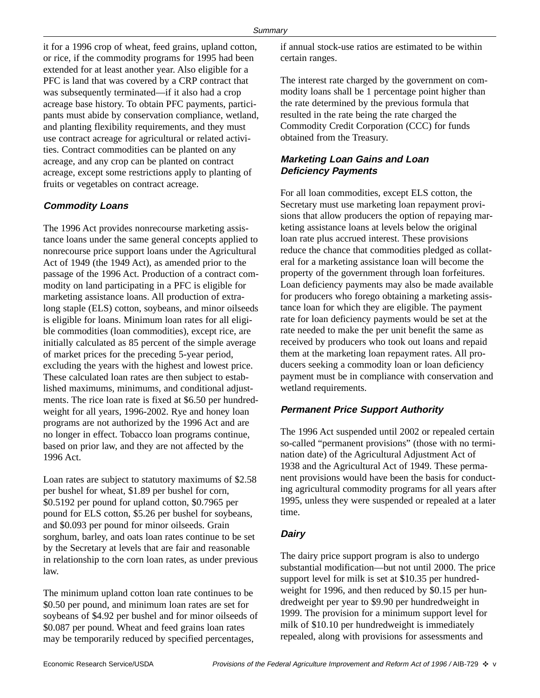it for a 1996 crop of wheat, feed grains, upland cotton, or rice, if the commodity programs for 1995 had been extended for at least another year. Also eligible for a PFC is land that was covered by a CRP contract that was subsequently terminated—if it also had a crop acreage base history. To obtain PFC payments, participants must abide by conservation compliance, wetland, and planting flexibility requirements, and they must use contract acreage for agricultural or related activities. Contract commodities can be planted on any acreage, and any crop can be planted on contract acreage, except some restrictions apply to planting of fruits or vegetables on contract acreage.

#### **Commodity Loans**

The 1996 Act provides nonrecourse marketing assistance loans under the same general concepts applied to nonrecourse price support loans under the Agricultural Act of 1949 (the 1949 Act), as amended prior to the passage of the 1996 Act. Production of a contract commodity on land participating in a PFC is eligible for marketing assistance loans. All production of extralong staple (ELS) cotton, soybeans, and minor oilseeds is eligible for loans. Minimum loan rates for all eligible commodities (loan commodities), except rice, are initially calculated as 85 percent of the simple average of market prices for the preceding 5-year period, excluding the years with the highest and lowest price. These calculated loan rates are then subject to established maximums, minimums, and conditional adjustments. The rice loan rate is fixed at \$6.50 per hundredweight for all years, 1996-2002. Rye and honey loan programs are not authorized by the 1996 Act and are no longer in effect. Tobacco loan programs continue, based on prior law, and they are not affected by the 1996 Act.

Loan rates are subject to statutory maximums of \$2.58 per bushel for wheat, \$1.89 per bushel for corn, \$0.5192 per pound for upland cotton, \$0.7965 per pound for ELS cotton, \$5.26 per bushel for soybeans, and \$0.093 per pound for minor oilseeds. Grain sorghum, barley, and oats loan rates continue to be set by the Secretary at levels that are fair and reasonable in relationship to the corn loan rates, as under previous law.

The minimum upland cotton loan rate continues to be \$0.50 per pound, and minimum loan rates are set for soybeans of \$4.92 per bushel and for minor oilseeds of \$0.087 per pound. Wheat and feed grains loan rates may be temporarily reduced by specified percentages,

if annual stock-use ratios are estimated to be within certain ranges.

The interest rate charged by the government on commodity loans shall be 1 percentage point higher than the rate determined by the previous formula that resulted in the rate being the rate charged the Commodity Credit Corporation (CCC) for funds obtained from the Treasury.

## **Marketing Loan Gains and Loan Deficiency Payments**

For all loan commodities, except ELS cotton, the Secretary must use marketing loan repayment provisions that allow producers the option of repaying marketing assistance loans at levels below the original loan rate plus accrued interest. These provisions reduce the chance that commodities pledged as collateral for a marketing assistance loan will become the property of the government through loan forfeitures. Loan deficiency payments may also be made available for producers who forego obtaining a marketing assistance loan for which they are eligible. The payment rate for loan deficiency payments would be set at the rate needed to make the per unit benefit the same as received by producers who took out loans and repaid them at the marketing loan repayment rates. All producers seeking a commodity loan or loan deficiency payment must be in compliance with conservation and wetland requirements.

#### **Permanent Price Support Authority**

The 1996 Act suspended until 2002 or repealed certain so-called "permanent provisions" (those with no termination date) of the Agricultural Adjustment Act of 1938 and the Agricultural Act of 1949. These permanent provisions would have been the basis for conducting agricultural commodity programs for all years after 1995, unless they were suspended or repealed at a later time.

#### **Dairy**

The dairy price support program is also to undergo substantial modification—but not until 2000. The price support level for milk is set at \$10.35 per hundredweight for 1996, and then reduced by \$0.15 per hundredweight per year to \$9.90 per hundredweight in 1999. The provision for a minimum support level for milk of \$10.10 per hundredweight is immediately repealed, along with provisions for assessments and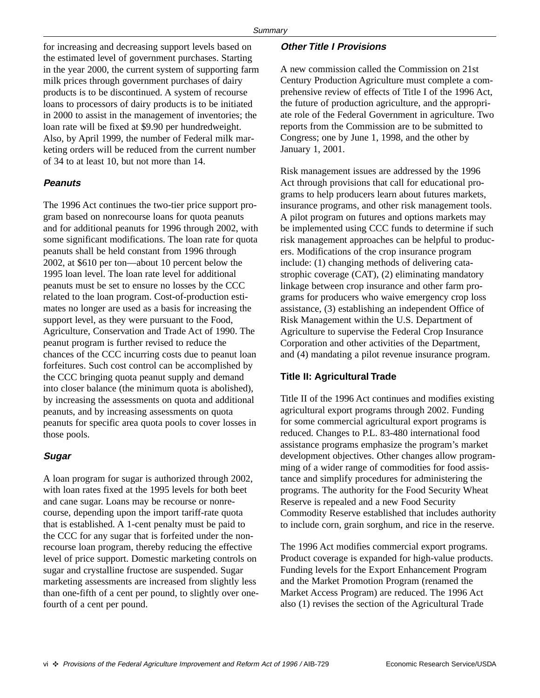for increasing and decreasing support levels based on the estimated level of government purchases. Starting in the year 2000, the current system of supporting farm milk prices through government purchases of dairy products is to be discontinued. A system of recourse loans to processors of dairy products is to be initiated in 2000 to assist in the management of inventories; the loan rate will be fixed at \$9.90 per hundredweight. Also, by April 1999, the number of Federal milk marketing orders will be reduced from the current number of 34 to at least 10, but not more than 14.

#### **Peanuts**

The 1996 Act continues the two-tier price support program based on nonrecourse loans for quota peanuts and for additional peanuts for 1996 through 2002, with some significant modifications. The loan rate for quota peanuts shall be held constant from 1996 through 2002, at \$610 per ton—about 10 percent below the 1995 loan level. The loan rate level for additional peanuts must be set to ensure no losses by the CCC related to the loan program. Cost-of-production estimates no longer are used as a basis for increasing the support level, as they were pursuant to the Food, Agriculture, Conservation and Trade Act of 1990. The peanut program is further revised to reduce the chances of the CCC incurring costs due to peanut loan forfeitures. Such cost control can be accomplished by the CCC bringing quota peanut supply and demand into closer balance (the minimum quota is abolished), by increasing the assessments on quota and additional peanuts, and by increasing assessments on quota peanuts for specific area quota pools to cover losses in those pools.

#### **Sugar**

A loan program for sugar is authorized through 2002, with loan rates fixed at the 1995 levels for both beet and cane sugar. Loans may be recourse or nonrecourse, depending upon the import tariff-rate quota that is established. A 1-cent penalty must be paid to the CCC for any sugar that is forfeited under the nonrecourse loan program, thereby reducing the effective level of price support. Domestic marketing controls on sugar and crystalline fructose are suspended. Sugar marketing assessments are increased from slightly less than one-fifth of a cent per pound, to slightly over onefourth of a cent per pound.

#### **Other Title I Provisions**

A new commission called the Commission on 21st Century Production Agriculture must complete a comprehensive review of effects of Title I of the 1996 Act, the future of production agriculture, and the appropriate role of the Federal Government in agriculture. Two reports from the Commission are to be submitted to Congress; one by June 1, 1998, and the other by January 1, 2001.

Risk management issues are addressed by the 1996 Act through provisions that call for educational programs to help producers learn about futures markets, insurance programs, and other risk management tools. A pilot program on futures and options markets may be implemented using CCC funds to determine if such risk management approaches can be helpful to producers. Modifications of the crop insurance program include: (1) changing methods of delivering catastrophic coverage (CAT), (2) eliminating mandatory linkage between crop insurance and other farm programs for producers who waive emergency crop loss assistance, (3) establishing an independent Office of Risk Management within the U.S. Department of Agriculture to supervise the Federal Crop Insurance Corporation and other activities of the Department, and (4) mandating a pilot revenue insurance program.

#### **Title II: Agricultural Trade**

Title II of the 1996 Act continues and modifies existing agricultural export programs through 2002. Funding for some commercial agricultural export programs is reduced. Changes to P.L. 83-480 international food assistance programs emphasize the program's market development objectives. Other changes allow programming of a wider range of commodities for food assistance and simplify procedures for administering the programs. The authority for the Food Security Wheat Reserve is repealed and a new Food Security Commodity Reserve established that includes authority to include corn, grain sorghum, and rice in the reserve.

The 1996 Act modifies commercial export programs. Product coverage is expanded for high-value products. Funding levels for the Export Enhancement Program and the Market Promotion Program (renamed the Market Access Program) are reduced. The 1996 Act also (1) revises the section of the Agricultural Trade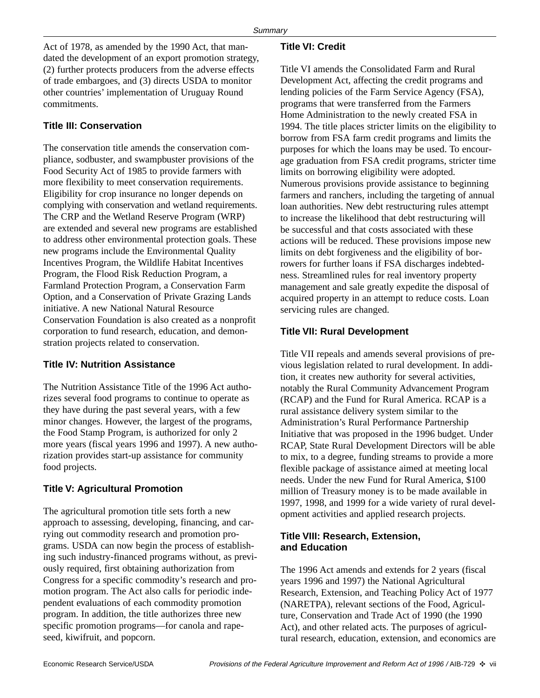Act of 1978, as amended by the 1990 Act, that mandated the development of an export promotion strategy, (2) further protects producers from the adverse effects of trade embargoes, and (3) directs USDA to monitor other countries' implementation of Uruguay Round commitments.

## **Title III: Conservation**

The conservation title amends the conservation compliance, sodbuster, and swampbuster provisions of the Food Security Act of 1985 to provide farmers with more flexibility to meet conservation requirements. Eligibility for crop insurance no longer depends on complying with conservation and wetland requirements. The CRP and the Wetland Reserve Program (WRP) are extended and several new programs are established to address other environmental protection goals. These new programs include the Environmental Quality Incentives Program, the Wildlife Habitat Incentives Program, the Flood Risk Reduction Program, a Farmland Protection Program, a Conservation Farm Option, and a Conservation of Private Grazing Lands initiative. A new National Natural Resource Conservation Foundation is also created as a nonprofit corporation to fund research, education, and demonstration projects related to conservation.

## **Title IV: Nutrition Assistance**

The Nutrition Assistance Title of the 1996 Act authorizes several food programs to continue to operate as they have during the past several years, with a few minor changes. However, the largest of the programs, the Food Stamp Program, is authorized for only 2 more years (fiscal years 1996 and 1997). A new authorization provides start-up assistance for community food projects.

## **Title V: Agricultural Promotion**

The agricultural promotion title sets forth a new approach to assessing, developing, financing, and carrying out commodity research and promotion programs. USDA can now begin the process of establishing such industry-financed programs without, as previously required, first obtaining authorization from Congress for a specific commodity's research and promotion program. The Act also calls for periodic independent evaluations of each commodity promotion program. In addition, the title authorizes three new specific promotion programs—for canola and rapeseed, kiwifruit, and popcorn.

## **Title VI: Credit**

Title VI amends the Consolidated Farm and Rural Development Act, affecting the credit programs and lending policies of the Farm Service Agency (FSA), programs that were transferred from the Farmers Home Administration to the newly created FSA in 1994. The title places stricter limits on the eligibility to borrow from FSA farm credit programs and limits the purposes for which the loans may be used. To encourage graduation from FSA credit programs, stricter time limits on borrowing eligibility were adopted. Numerous provisions provide assistance to beginning farmers and ranchers, including the targeting of annual loan authorities. New debt restructuring rules attempt to increase the likelihood that debt restructuring will be successful and that costs associated with these actions will be reduced. These provisions impose new limits on debt forgiveness and the eligibility of borrowers for further loans if FSA discharges indebtedness. Streamlined rules for real inventory property management and sale greatly expedite the disposal of acquired property in an attempt to reduce costs. Loan servicing rules are changed.

## **Title VII: Rural Development**

Title VII repeals and amends several provisions of previous legislation related to rural development. In addition, it creates new authority for several activities, notably the Rural Community Advancement Program (RCAP) and the Fund for Rural America. RCAP is a rural assistance delivery system similar to the Administration's Rural Performance Partnership Initiative that was proposed in the 1996 budget. Under RCAP, State Rural Development Directors will be able to mix, to a degree, funding streams to provide a more flexible package of assistance aimed at meeting local needs. Under the new Fund for Rural America, \$100 million of Treasury money is to be made available in 1997, 1998, and 1999 for a wide variety of rural development activities and applied research projects.

## **Title VIII: Research, Extension, and Education**

The 1996 Act amends and extends for 2 years (fiscal years 1996 and 1997) the National Agricultural Research, Extension, and Teaching Policy Act of 1977 (NARETPA), relevant sections of the Food, Agriculture, Conservation and Trade Act of 1990 (the 1990 Act), and other related acts. The purposes of agricultural research, education, extension, and economics are